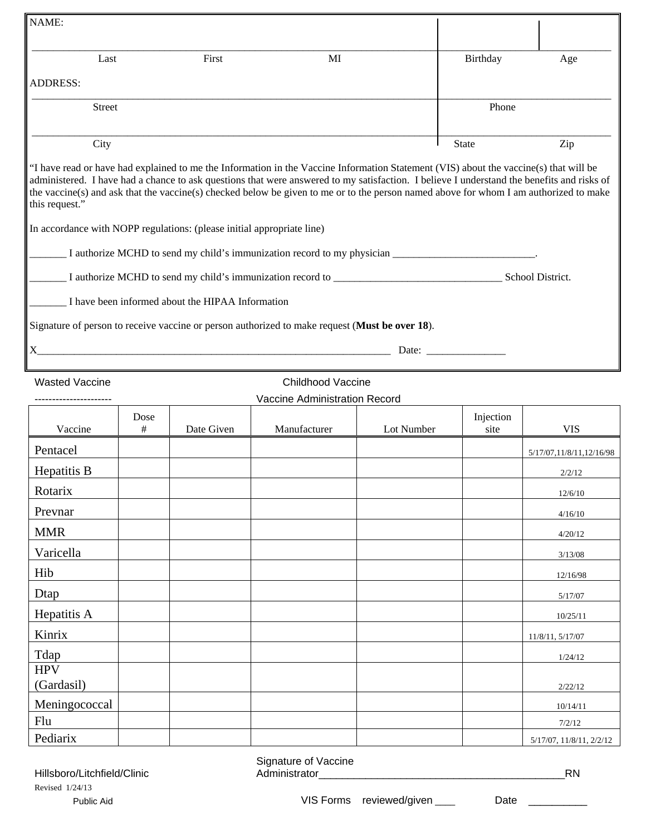| NAME:                                                                  |           |                                                  |                                                                                                                                                                                                                                                                                     |            |                                                                                                                                                                                                                                |                            |
|------------------------------------------------------------------------|-----------|--------------------------------------------------|-------------------------------------------------------------------------------------------------------------------------------------------------------------------------------------------------------------------------------------------------------------------------------------|------------|--------------------------------------------------------------------------------------------------------------------------------------------------------------------------------------------------------------------------------|----------------------------|
| Last                                                                   |           | First                                            | MI                                                                                                                                                                                                                                                                                  |            | Birthday                                                                                                                                                                                                                       | Age                        |
|                                                                        |           |                                                  |                                                                                                                                                                                                                                                                                     |            |                                                                                                                                                                                                                                |                            |
| <b>ADDRESS:</b>                                                        |           |                                                  |                                                                                                                                                                                                                                                                                     |            |                                                                                                                                                                                                                                |                            |
| <b>Street</b>                                                          |           |                                                  |                                                                                                                                                                                                                                                                                     |            | Phone                                                                                                                                                                                                                          |                            |
| City                                                                   |           |                                                  |                                                                                                                                                                                                                                                                                     |            | <b>State</b>                                                                                                                                                                                                                   | Zip                        |
|                                                                        |           |                                                  | "I have read or have had explained to me the Information in the Vaccine Information Statement (VIS) about the vaccine(s) that will be                                                                                                                                               |            |                                                                                                                                                                                                                                |                            |
| this request."                                                         |           |                                                  | administered. I have had a chance to ask questions that were answered to my satisfaction. I believe I understand the benefits and risks of<br>the vaccine(s) and ask that the vaccine(s) checked below be given to me or to the person named above for whom I am authorized to make |            |                                                                                                                                                                                                                                |                            |
| In accordance with NOPP regulations: (please initial appropriate line) |           |                                                  |                                                                                                                                                                                                                                                                                     |            |                                                                                                                                                                                                                                |                            |
|                                                                        |           |                                                  | I authorize MCHD to send my child's immunization record to my physician ___________________________.                                                                                                                                                                                |            |                                                                                                                                                                                                                                |                            |
|                                                                        |           |                                                  |                                                                                                                                                                                                                                                                                     |            |                                                                                                                                                                                                                                |                            |
|                                                                        |           | I have been informed about the HIPAA Information |                                                                                                                                                                                                                                                                                     |            |                                                                                                                                                                                                                                |                            |
|                                                                        |           |                                                  | Signature of person to receive vaccine or person authorized to make request (Must be over 18).                                                                                                                                                                                      |            |                                                                                                                                                                                                                                |                            |
| $X_{\mathcal{E}}$                                                      |           |                                                  |                                                                                                                                                                                                                                                                                     |            | Date: the contract of the contract of the contract of the contract of the contract of the contract of the contract of the contract of the contract of the contract of the contract of the contract of the contract of the cont |                            |
|                                                                        |           |                                                  |                                                                                                                                                                                                                                                                                     |            |                                                                                                                                                                                                                                |                            |
| <b>Wasted Vaccine</b>                                                  |           |                                                  | <b>Childhood Vaccine</b>                                                                                                                                                                                                                                                            |            |                                                                                                                                                                                                                                |                            |
|                                                                        |           |                                                  | Vaccine Administration Record                                                                                                                                                                                                                                                       |            |                                                                                                                                                                                                                                |                            |
| Vaccine                                                                | Dose<br># | Date Given                                       | Manufacturer                                                                                                                                                                                                                                                                        | Lot Number | Injection<br>site                                                                                                                                                                                                              | <b>VIS</b>                 |
| Pentacel                                                               |           |                                                  |                                                                                                                                                                                                                                                                                     |            |                                                                                                                                                                                                                                | 5/17/07, 11/8/11, 12/16/98 |
| Hepatitis B                                                            |           |                                                  |                                                                                                                                                                                                                                                                                     |            |                                                                                                                                                                                                                                | 2/2/12                     |
| Rotarix                                                                |           |                                                  |                                                                                                                                                                                                                                                                                     |            |                                                                                                                                                                                                                                | 12/6/10                    |
| Prevnar                                                                |           |                                                  |                                                                                                                                                                                                                                                                                     |            |                                                                                                                                                                                                                                | 4/16/10                    |
| <b>MMR</b>                                                             |           |                                                  |                                                                                                                                                                                                                                                                                     |            |                                                                                                                                                                                                                                | 4/20/12                    |
| Varicella                                                              |           |                                                  |                                                                                                                                                                                                                                                                                     |            |                                                                                                                                                                                                                                | 3/13/08                    |
| Hib                                                                    |           |                                                  |                                                                                                                                                                                                                                                                                     |            |                                                                                                                                                                                                                                | 12/16/98                   |
| Dtap                                                                   |           |                                                  |                                                                                                                                                                                                                                                                                     |            |                                                                                                                                                                                                                                | 5/17/07                    |
| Hepatitis A                                                            |           |                                                  |                                                                                                                                                                                                                                                                                     |            |                                                                                                                                                                                                                                | 10/25/11                   |
| Kinrix                                                                 |           |                                                  |                                                                                                                                                                                                                                                                                     |            |                                                                                                                                                                                                                                | 11/8/11, 5/17/07           |
| Tdap                                                                   |           |                                                  |                                                                                                                                                                                                                                                                                     |            |                                                                                                                                                                                                                                | 1/24/12                    |
| <b>HPV</b><br>(Gardasil)                                               |           |                                                  |                                                                                                                                                                                                                                                                                     |            |                                                                                                                                                                                                                                | 2/22/12                    |

| Hillsboro/Litchfield/Clinic |            |  |  |  |  |  |
|-----------------------------|------------|--|--|--|--|--|
| Revised 1/24/13             |            |  |  |  |  |  |
|                             | Public Aid |  |  |  |  |  |

Signature of Vaccine Administrator\_\_\_\_\_\_\_\_\_\_\_\_\_\_\_\_\_\_\_\_\_\_\_\_\_\_\_\_\_\_\_\_\_\_\_\_\_\_\_\_\_\_RN

Pediarix 1/1/8/11, 2/2/12

(Gardasil) 2/22/12 Meningococcal and the set of the set of the set of the set of the set of the set of the set of the set of the set of the set of the set of the set of the set of the set of the set of the set of the set of the set of the se Flu 7/2/12

Public Aid **Public Aid Public Aid Public Aid Public Aid Public Aid Public Aid Public Aid Public Aid Public Aid Public Aid Public Aid Public Aid Public Aid Public Aid Public Aid Public Aid Pu**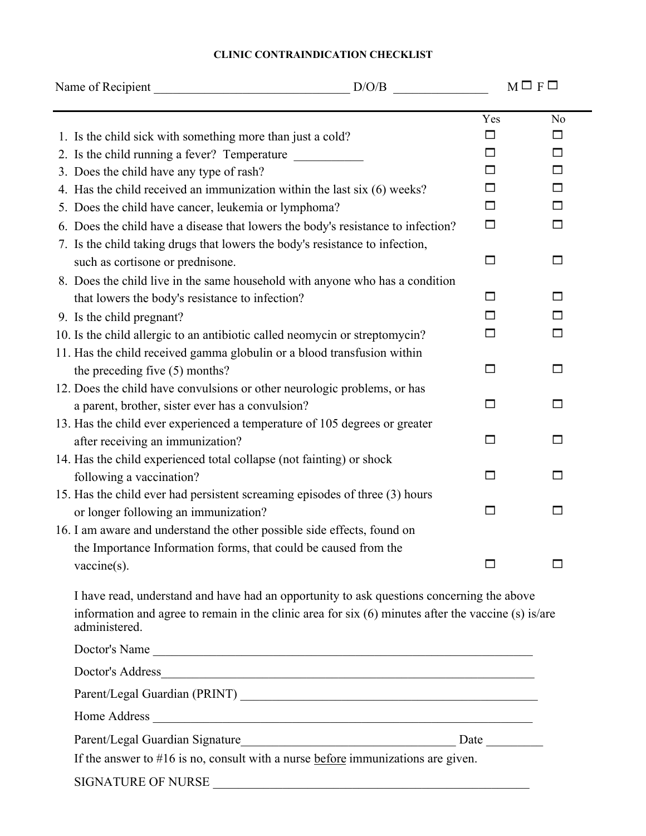| Name of Recipient                                                                                                                                                                                                 | D/O/B |              | $M \square F \square$ |  |
|-------------------------------------------------------------------------------------------------------------------------------------------------------------------------------------------------------------------|-------|--------------|-----------------------|--|
|                                                                                                                                                                                                                   |       | Yes          | N <sub>0</sub>        |  |
| 1. Is the child sick with something more than just a cold?                                                                                                                                                        |       | □            | □                     |  |
| 2. Is the child running a fever? Temperature                                                                                                                                                                      |       | П            | $\Box$                |  |
| 3. Does the child have any type of rash?                                                                                                                                                                          |       | □            | □                     |  |
| 4. Has the child received an immunization within the last six (6) weeks?                                                                                                                                          |       | □            | $\Box$                |  |
| 5. Does the child have cancer, leukemia or lymphoma?                                                                                                                                                              |       | □            | □                     |  |
| 6. Does the child have a disease that lowers the body's resistance to infection?                                                                                                                                  |       | $\Box$       | $\Box$                |  |
| 7. Is the child taking drugs that lowers the body's resistance to infection,                                                                                                                                      |       |              |                       |  |
| such as cortisone or prednisone.                                                                                                                                                                                  |       | □            | □                     |  |
| 8. Does the child live in the same household with anyone who has a condition                                                                                                                                      |       |              |                       |  |
| that lowers the body's resistance to infection?                                                                                                                                                                   |       | □            | □                     |  |
| 9. Is the child pregnant?                                                                                                                                                                                         |       | П            | $\Box$                |  |
| 10. Is the child allergic to an antibiotic called neomycin or streptomycin?                                                                                                                                       |       | □            | □                     |  |
| 11. Has the child received gamma globulin or a blood transfusion within                                                                                                                                           |       |              |                       |  |
| the preceding five (5) months?                                                                                                                                                                                    |       | П            | $\Box$                |  |
| 12. Does the child have convulsions or other neurologic problems, or has                                                                                                                                          |       |              |                       |  |
| a parent, brother, sister ever has a convulsion?                                                                                                                                                                  |       | $\Box$       | □                     |  |
| 13. Has the child ever experienced a temperature of 105 degrees or greater                                                                                                                                        |       |              |                       |  |
| after receiving an immunization?                                                                                                                                                                                  |       | □            | $\Box$                |  |
| 14. Has the child experienced total collapse (not fainting) or shock                                                                                                                                              |       |              |                       |  |
| following a vaccination?                                                                                                                                                                                          |       | $\mathsf{L}$ | ப                     |  |
| 15. Has the child ever had persistent screaming episodes of three (3) hours                                                                                                                                       |       |              |                       |  |
| or longer following an immunization?                                                                                                                                                                              |       | □            | □                     |  |
| 16. I am aware and understand the other possible side effects, found on                                                                                                                                           |       |              |                       |  |
| the Importance Information forms, that could be caused from the                                                                                                                                                   |       |              |                       |  |
| $vaccine(s)$ .                                                                                                                                                                                                    |       |              |                       |  |
| I have read, understand and have had an opportunity to ask questions concerning the above<br>information and agree to remain in the clinic area for six (6) minutes after the vaccine (s) is/are<br>administered. |       |              |                       |  |
| Doctor's Name                                                                                                                                                                                                     |       |              |                       |  |
|                                                                                                                                                                                                                   |       |              |                       |  |
|                                                                                                                                                                                                                   |       |              |                       |  |
| Home Address                                                                                                                                                                                                      |       |              |                       |  |
|                                                                                                                                                                                                                   |       |              |                       |  |
|                                                                                                                                                                                                                   |       |              |                       |  |

If the answer to #16 is no, consult with a nurse before immunizations are given.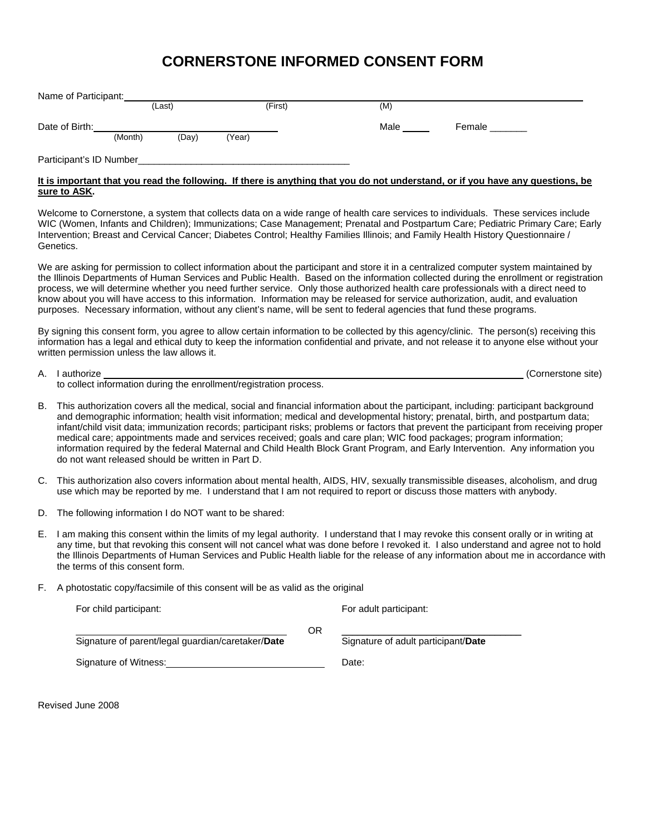## **CORNERSTONE INFORMED CONSENT FORM**

| Name of Participant:    |         |        |        |         |      |        |
|-------------------------|---------|--------|--------|---------|------|--------|
|                         |         | (Last) |        | (First) | (M)  |        |
| Date of Birth:          |         |        |        |         | Male | Female |
|                         | (Month) | (Day)  | (Year) |         |      |        |
| Participant's ID Number |         |        |        |         |      |        |

## **It is important that you read the following. If there is anything that you do not understand, or if you have any questions, be sure to ASK.**

Welcome to Cornerstone, a system that collects data on a wide range of health care services to individuals. These services include WIC (Women, Infants and Children); Immunizations; Case Management; Prenatal and Postpartum Care; Pediatric Primary Care; Early Intervention; Breast and Cervical Cancer; Diabetes Control; Healthy Families Illinois; and Family Health History Questionnaire / Genetics.

We are asking for permission to collect information about the participant and store it in a centralized computer system maintained by the Illinois Departments of Human Services and Public Health. Based on the information collected during the enrollment or registration process, we will determine whether you need further service. Only those authorized health care professionals with a direct need to know about you will have access to this information. Information may be released for service authorization, audit, and evaluation purposes. Necessary information, without any client's name, will be sent to federal agencies that fund these programs.

By signing this consent form, you agree to allow certain information to be collected by this agency/clinic. The person(s) receiving this information has a legal and ethical duty to keep the information confidential and private, and not release it to anyone else without your written permission unless the law allows it.

| A. | I authorize                                                        | (Cornerstone site) |
|----|--------------------------------------------------------------------|--------------------|
|    | to collect information during the enrollment/registration process. |                    |

- B. This authorization covers all the medical, social and financial information about the participant, including: participant background and demographic information; health visit information; medical and developmental history; prenatal, birth, and postpartum data; infant/child visit data; immunization records; participant risks; problems or factors that prevent the participant from receiving proper medical care; appointments made and services received; goals and care plan; WIC food packages; program information; information required by the federal Maternal and Child Health Block Grant Program, and Early Intervention. Any information you do not want released should be written in Part D.
- C. This authorization also covers information about mental health, AIDS, HIV, sexually transmissible diseases, alcoholism, and drug use which may be reported by me. I understand that I am not required to report or discuss those matters with anybody.
- D. The following information I do NOT want to be shared:
- E. I am making this consent within the limits of my legal authority. I understand that I may revoke this consent orally or in writing at any time, but that revoking this consent will not cancel what was done before I revoked it. I also understand and agree not to hold the Illinois Departments of Human Services and Public Health liable for the release of any information about me in accordance with the terms of this consent form.
- F. A photostatic copy/facsimile of this consent will be as valid as the original

| For child participant:                            |    | For adult participant:              |  |  |
|---------------------------------------------------|----|-------------------------------------|--|--|
| Signature of parent/legal guardian/caretaker/Date | ΟR | Signature of adult participant/Date |  |  |
| Signature of Witness:                             |    | Date:                               |  |  |

Revised June 2008